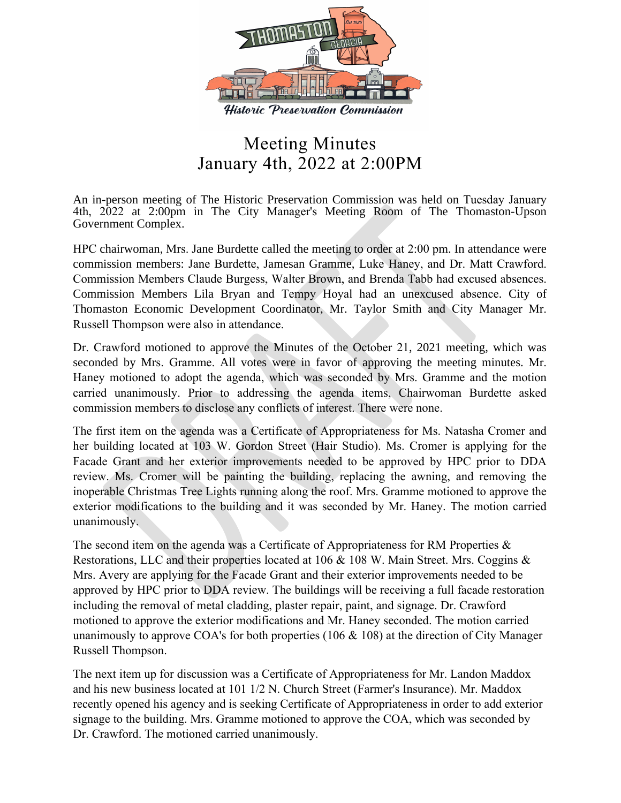

## Meeting Minutes January 4th, 2022 at 2:00PM

An in-person meeting of The Historic Preservation Commission was held on Tuesday January 4th, 2022 at 2:00pm in The City Manager's Meeting Room of The Thomaston-Upson Government Complex.

HPC chairwoman, Mrs. Jane Burdette called the meeting to order at 2:00 pm. In attendance were commission members: Jane Burdette, Jamesan Gramme, Luke Haney, and Dr. Matt Crawford. Commission Members Claude Burgess, Walter Brown, and Brenda Tabb had excused absences. Commission Members Lila Bryan and Tempy Hoyal had an unexcused absence. City of Thomaston Economic Development Coordinator, Mr. Taylor Smith and City Manager Mr. Russell Thompson were also in attendance.

Dr. Crawford motioned to approve the Minutes of the October 21, 2021 meeting, which was seconded by Mrs. Gramme. All votes were in favor of approving the meeting minutes. Mr. Haney motioned to adopt the agenda, which was seconded by Mrs. Gramme and the motion carried unanimously. Prior to addressing the agenda items, Chairwoman Burdette asked commission members to disclose any conflicts of interest. There were none.

The first item on the agenda was a Certificate of Appropriateness for Ms. Natasha Cromer and her building located at 103 W. Gordon Street (Hair Studio). Ms. Cromer is applying for the Facade Grant and her exterior improvements needed to be approved by HPC prior to DDA review. Ms. Cromer will be painting the building, replacing the awning, and removing the inoperable Christmas Tree Lights running along the roof. Mrs. Gramme motioned to approve the exterior modifications to the building and it was seconded by Mr. Haney. The motion carried unanimously.

The second item on the agenda was a Certificate of Appropriateness for RM Properties & Restorations, LLC and their properties located at 106 & 108 W. Main Street. Mrs. Coggins & Mrs. Avery are applying for the Facade Grant and their exterior improvements needed to be approved by HPC prior to DDA review. The buildings will be receiving a full facade restoration including the removal of metal cladding, plaster repair, paint, and signage. Dr. Crawford motioned to approve the exterior modifications and Mr. Haney seconded. The motion carried unanimously to approve COA's for both properties (106 & 108) at the direction of City Manager Russell Thompson.

The next item up for discussion was a Certificate of Appropriateness for Mr. Landon Maddox and his new business located at 101 1/2 N. Church Street (Farmer's Insurance). Mr. Maddox recently opened his agency and is seeking Certificate of Appropriateness in order to add exterior signage to the building. Mrs. Gramme motioned to approve the COA, which was seconded by Dr. Crawford. The motioned carried unanimously.